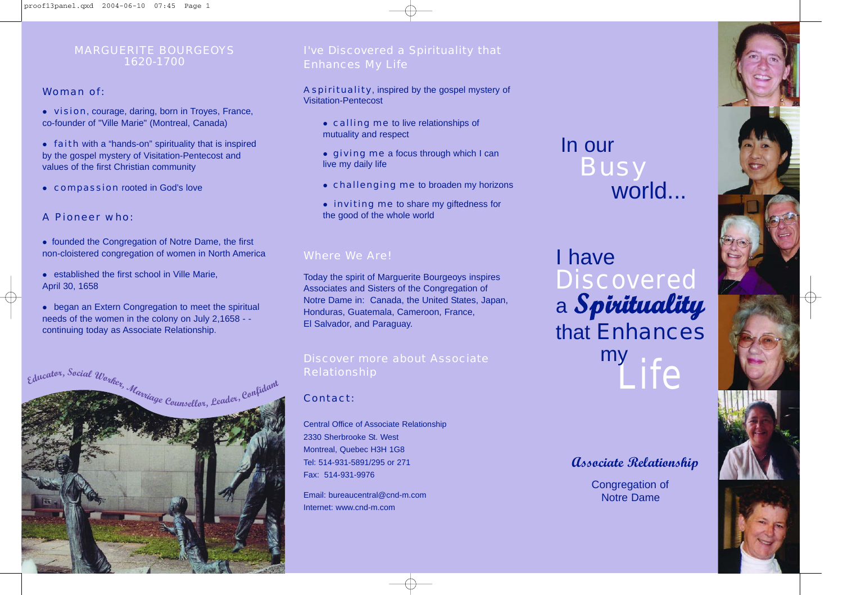## MARGUERITE BOURGEOYS 1620-1700

## Woman of:

- vision, courage, daring, born in Troyes, France, co-founder of "Ville Marie" (Montreal, Canada)
- faith with a "hands-on" spirituality that is inspired by the gospel mystery of Visitation-Pentecost and values of the first Christian community
- compassion rooted in God's love

## A Pioneer who:

- founded the Congregation of Notre Dame, the first non-cloistered congregation of women in North America
- $\bullet$  established the first school in Ville Marie, April 30, 1658
- began an Extern Congregation to meet the spiritual needs of the women in the colony on July 2,1658 - continuing today as Associate Relationship.



## I've Discovered a Spirituality that Enhances My Life

### A spirituality, inspired by the gospel mystery of Visitation-Pentecost

- calling me to live relationships of mutuality and respect
- **giving me** a focus through which I can live my daily life
- challenging me to broaden my horizons
- inviting me to share my giftedness for the good of the whole world

## Where We Are!

Today the spirit of Marguerite Bourgeoys inspires Associates and Sisters of the Congregation of Notre Dame in: Canada, the United States, Japan, Honduras, Guatemala, Cameroon, France, El Salvador, and Paraguay.

## Discover more about Associate Relationship

## Contact:

Central Office of Associate Relationship 2330 Sherbrooke St. West Montreal, Quebec H3H 1G8 Tel: 514-931-5891/295 or 271 Fax: 514-931-9976

Email: bureaucentral@cnd-m.com Internet: www.cnd-m.com

## In our **Busy** world...

## I have **Discovered** a **Spirituality** that Enhances Life my

## **Associate Relationship**

Congregation of Notre Dame